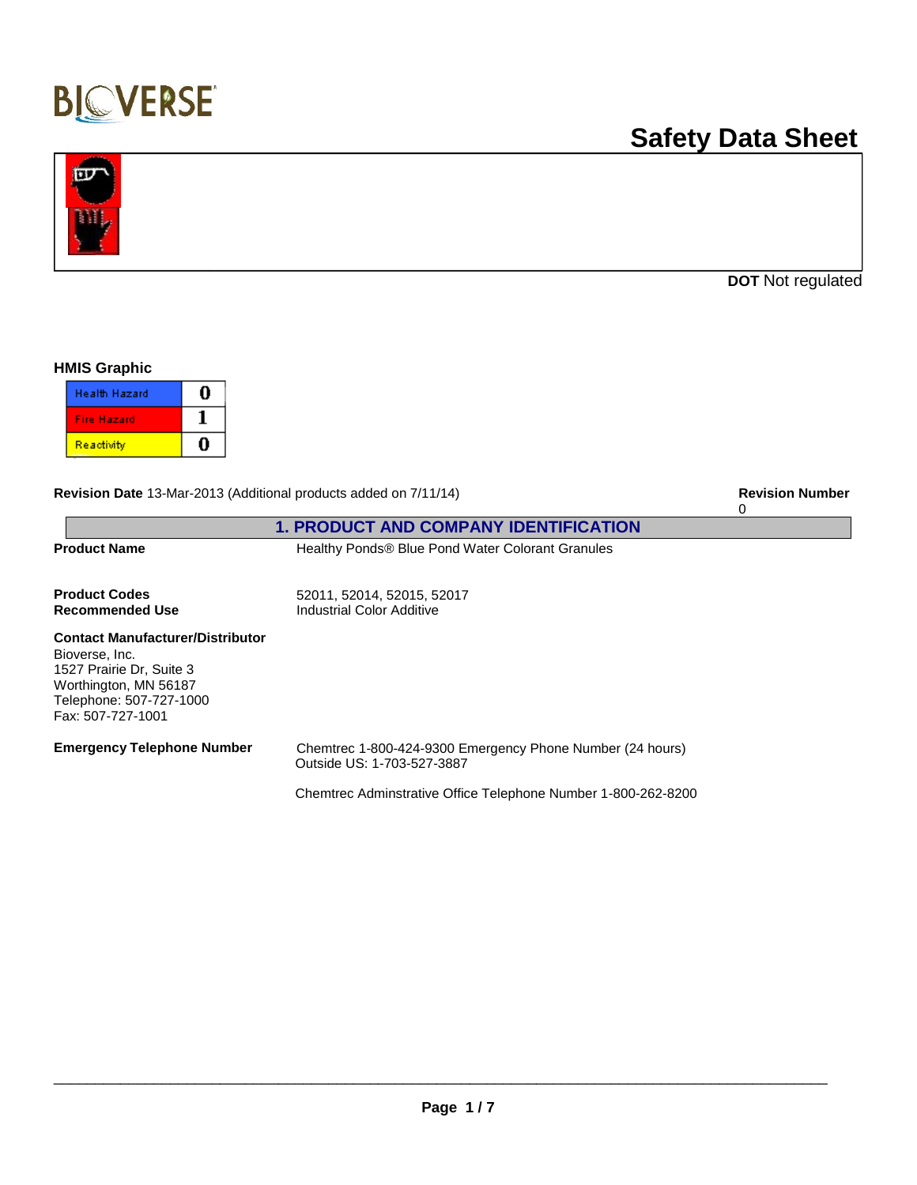

# **Safety Data Sheet**



**DOT** Not regulated

#### **HMIS Graphic**

| <b>Health Hazard</b> |  |
|----------------------|--|
| <b>Fire Hazard</b>   |  |
| Reactivity           |  |

Revision Date 13-Mar-2013 (Additional products added on 7/11/14) **Revision Date 11-Mar-2013 Revision Number** 

|                                                                                                                                                                |                                                                                                                                                          | $\Omega$ |
|----------------------------------------------------------------------------------------------------------------------------------------------------------------|----------------------------------------------------------------------------------------------------------------------------------------------------------|----------|
|                                                                                                                                                                | <b>1. PRODUCT AND COMPANY IDENTIFICATION</b>                                                                                                             |          |
| <b>Product Name</b>                                                                                                                                            | Healthy Ponds® Blue Pond Water Colorant Granules                                                                                                         |          |
| <b>Product Codes</b><br>Recommended Use                                                                                                                        | 52011, 52014, 52015, 52017<br>Industrial Color Additive                                                                                                  |          |
| <b>Contact Manufacturer/Distributor</b><br>Bioverse, Inc.<br>1527 Prairie Dr, Suite 3<br>Worthington, MN 56187<br>Telephone: 507-727-1000<br>Fax: 507-727-1001 |                                                                                                                                                          |          |
| <b>Emergency Telephone Number</b>                                                                                                                              | Chemtrec 1-800-424-9300 Emergency Phone Number (24 hours)<br>Outside US: 1-703-527-3887<br>Chemtrec Adminstrative Office Telephone Number 1-800-262-8200 |          |
|                                                                                                                                                                |                                                                                                                                                          |          |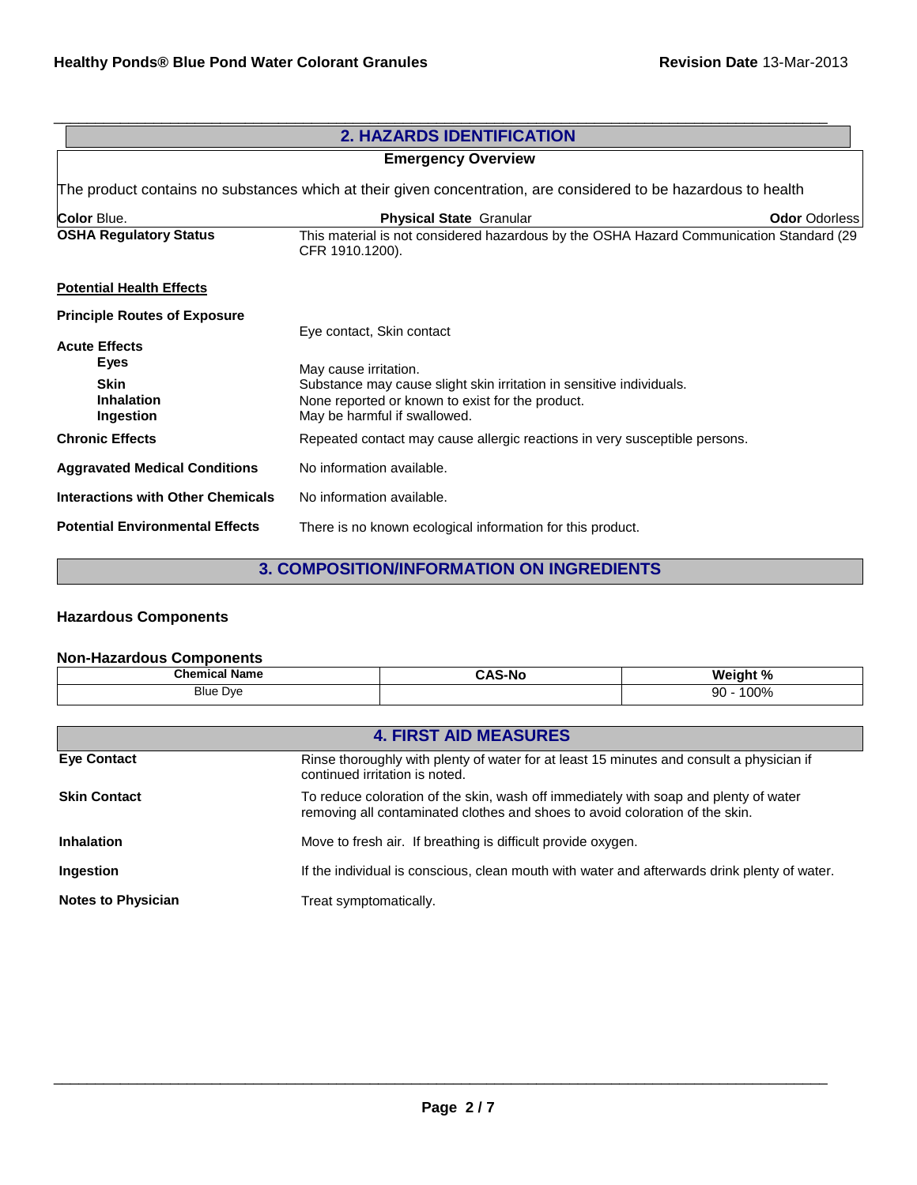|                                                                                                                 | <b>2. HAZARDS IDENTIFICATION</b>                                                                                         |  |
|-----------------------------------------------------------------------------------------------------------------|--------------------------------------------------------------------------------------------------------------------------|--|
|                                                                                                                 | <b>Emergency Overview</b>                                                                                                |  |
| The product contains no substances which at their given concentration, are considered to be hazardous to health |                                                                                                                          |  |
| <b>Color Blue.</b>                                                                                              | <b>Odor Odorless</b><br><b>Physical State Granular</b>                                                                   |  |
| <b>OSHA Regulatory Status</b>                                                                                   | This material is not considered hazardous by the OSHA Hazard Communication Standard (29<br>CFR 1910.1200).               |  |
| <b>Potential Health Effects</b>                                                                                 |                                                                                                                          |  |
| <b>Principle Routes of Exposure</b>                                                                             |                                                                                                                          |  |
| <b>Acute Effects</b>                                                                                            | Eye contact, Skin contact                                                                                                |  |
| Eyes                                                                                                            |                                                                                                                          |  |
| <b>Skin</b>                                                                                                     | May cause irritation.                                                                                                    |  |
| <b>Inhalation</b>                                                                                               | Substance may cause slight skin irritation in sensitive individuals.<br>None reported or known to exist for the product. |  |
| Ingestion                                                                                                       | May be harmful if swallowed.                                                                                             |  |
| <b>Chronic Effects</b>                                                                                          | Repeated contact may cause allergic reactions in very susceptible persons.                                               |  |
| <b>Aggravated Medical Conditions</b>                                                                            | No information available.                                                                                                |  |
| <b>Interactions with Other Chemicals</b>                                                                        | No information available.                                                                                                |  |
| <b>Potential Environmental Effects</b>                                                                          | There is no known ecological information for this product.                                                               |  |

## **3. COMPOSITION/INFORMATION ON INGREDIENTS**

## **Hazardous Components**

### **Non-Hazardous Components**

| <b>Chemical Name</b> | .     | Weight %   |
|----------------------|-------|------------|
| .                    | \S-NC | 7٥         |
| <b>Blue Dye</b>      |       | 100%<br>90 |

| <b>4. FIRST AID MEASURES</b> |                                                                                                                                                                      |  |
|------------------------------|----------------------------------------------------------------------------------------------------------------------------------------------------------------------|--|
| <b>Eve Contact</b>           | Rinse thoroughly with plenty of water for at least 15 minutes and consult a physician if<br>continued irritation is noted.                                           |  |
| <b>Skin Contact</b>          | To reduce coloration of the skin, wash off immediately with soap and plenty of water<br>removing all contaminated clothes and shoes to avoid coloration of the skin. |  |
| <b>Inhalation</b>            | Move to fresh air. If breathing is difficult provide oxygen.                                                                                                         |  |
| Ingestion                    | If the individual is conscious, clean mouth with water and afterwards drink plenty of water.                                                                         |  |
| <b>Notes to Physician</b>    | Treat symptomatically.                                                                                                                                               |  |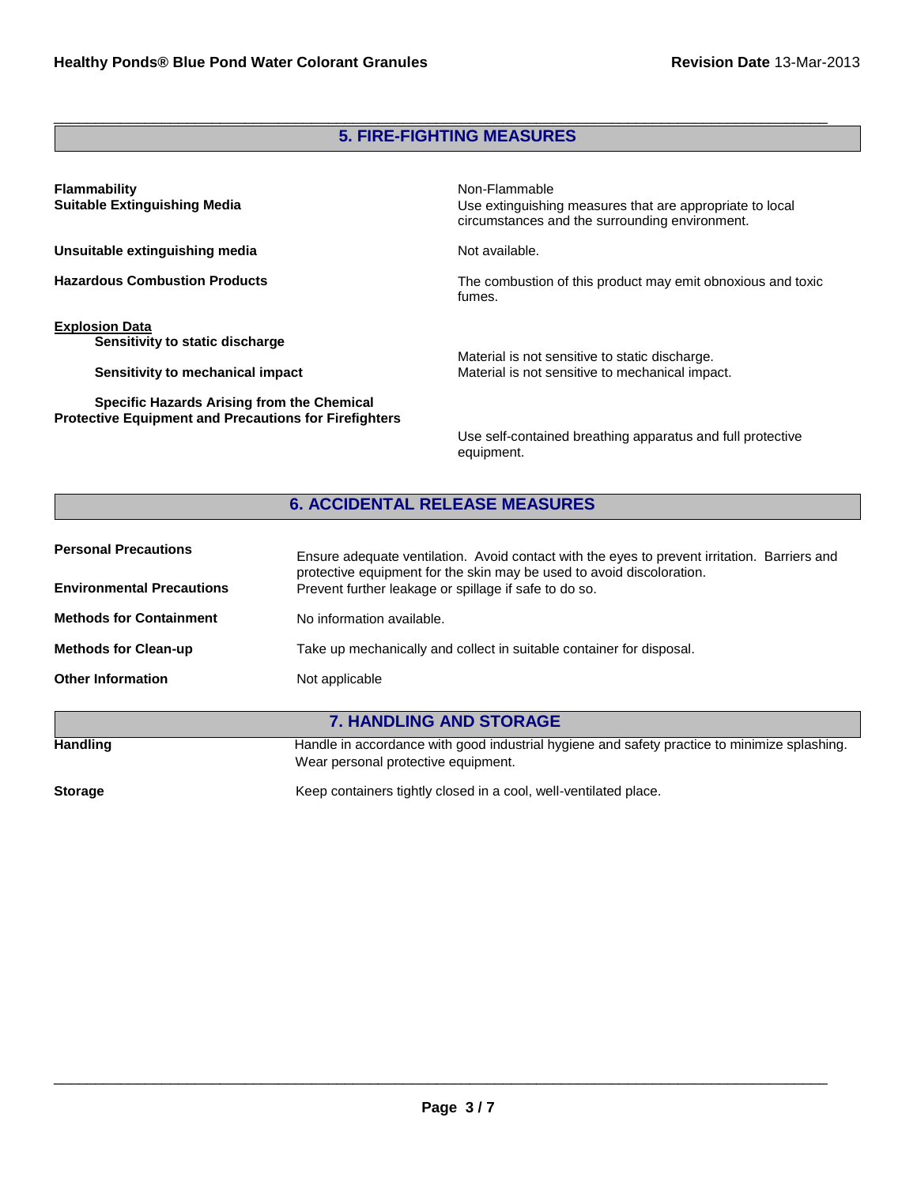## **5. FIRE-FIGHTING MEASURES**

\_\_\_\_\_\_\_\_\_\_\_\_\_\_\_\_\_\_\_\_\_\_\_\_\_\_\_\_\_\_\_\_\_\_\_\_\_\_\_\_\_\_\_\_\_\_\_\_\_\_\_\_\_\_\_\_\_\_\_\_\_\_\_\_\_\_\_\_\_\_\_\_\_\_\_\_\_\_\_\_\_\_\_\_\_\_\_\_\_\_\_\_\_

| <b>Flammability</b><br><b>Suitable Extinguishing Media</b>                                                 | Non-Flammable<br>Use extinguishing measures that are appropriate to local<br>circumstances and the surrounding environment. |
|------------------------------------------------------------------------------------------------------------|-----------------------------------------------------------------------------------------------------------------------------|
| Unsuitable extinguishing media                                                                             | Not available.                                                                                                              |
| <b>Hazardous Combustion Products</b>                                                                       | The combustion of this product may emit obnoxious and toxic<br>fumes.                                                       |
| <b>Explosion Data</b><br>Sensitivity to static discharge<br>Sensitivity to mechanical impact               | Material is not sensitive to static discharge.<br>Material is not sensitive to mechanical impact.                           |
| Specific Hazards Arising from the Chemical<br><b>Protective Equipment and Precautions for Firefighters</b> | Use self-contained breathing apparatus and full protective<br>equipment.                                                    |

## **6. ACCIDENTAL RELEASE MEASURES**

| <b>Personal Precautions</b>      | Ensure adequate ventilation. Avoid contact with the eyes to prevent irritation. Barriers and<br>protective equipment for the skin may be used to avoid discoloration. |  |
|----------------------------------|-----------------------------------------------------------------------------------------------------------------------------------------------------------------------|--|
| <b>Environmental Precautions</b> | Prevent further leakage or spillage if safe to do so.                                                                                                                 |  |
| <b>Methods for Containment</b>   | No information available.                                                                                                                                             |  |
| <b>Methods for Clean-up</b>      | Take up mechanically and collect in suitable container for disposal.                                                                                                  |  |
| <b>Other Information</b>         | Not applicable                                                                                                                                                        |  |
|                                  |                                                                                                                                                                       |  |
| <b>7. HANDLING AND STORAGE</b>   |                                                                                                                                                                       |  |
| <b>Handling</b>                  | Handle in accordance with good industrial hygiene and safety practice to minimize splashing.<br>Wear personal protective equipment.                                   |  |

Storage **Keep containers tightly closed in a cool, well-ventilated place.**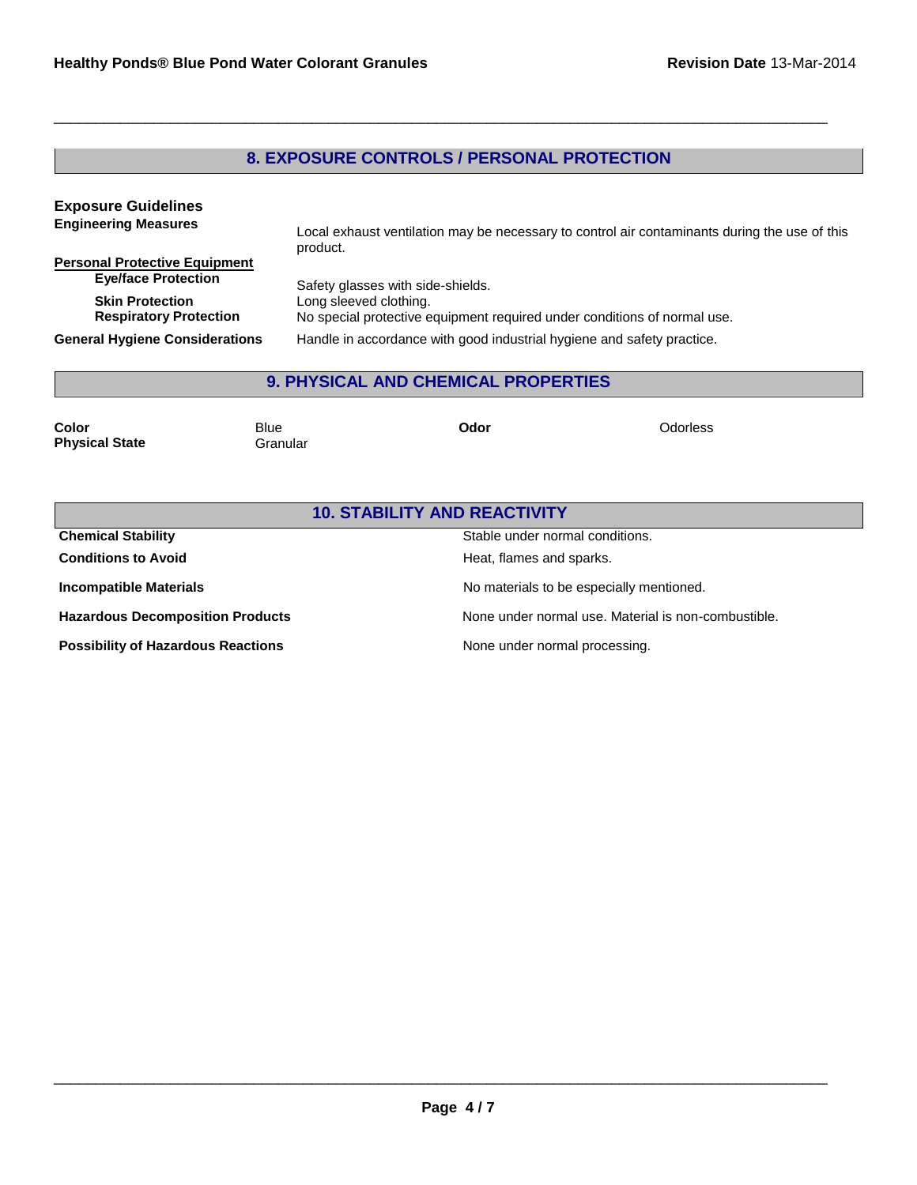## **8. EXPOSURE CONTROLS / PERSONAL PROTECTION**

\_\_\_\_\_\_\_\_\_\_\_\_\_\_\_\_\_\_\_\_\_\_\_\_\_\_\_\_\_\_\_\_\_\_\_\_\_\_\_\_\_\_\_\_\_\_\_\_\_\_\_\_\_\_\_\_\_\_\_\_\_\_\_\_\_\_\_\_\_\_\_\_\_\_\_\_\_\_\_\_\_\_\_\_\_\_\_\_\_\_\_\_\_

| <b>Exposure Guidelines</b>                              |                                                                                                           |
|---------------------------------------------------------|-----------------------------------------------------------------------------------------------------------|
| <b>Engineering Measures</b>                             | Local exhaust ventilation may be necessary to control air contaminants during the use of this<br>product. |
| <b>Personal Protective Equipment</b>                    |                                                                                                           |
| <b>Eye/face Protection</b>                              | Safety glasses with side-shields.                                                                         |
| <b>Skin Protection</b><br><b>Respiratory Protection</b> | Long sleeved clothing.<br>No special protective equipment required under conditions of normal use.        |
| <b>General Hygiene Considerations</b>                   | Handle in accordance with good industrial hygiene and safety practice.                                    |

## **9. PHYSICAL AND CHEMICAL PROPERTIES**

| Color                 | Blue     | Odor | Odorless |
|-----------------------|----------|------|----------|
| <b>Physical State</b> | Granular |      |          |

| <b>10. STABILITY AND REACTIVITY</b>       |                                                     |  |
|-------------------------------------------|-----------------------------------------------------|--|
| <b>Chemical Stability</b>                 | Stable under normal conditions.                     |  |
| <b>Conditions to Avoid</b>                | Heat, flames and sparks.                            |  |
| <b>Incompatible Materials</b>             | No materials to be especially mentioned.            |  |
| <b>Hazardous Decomposition Products</b>   | None under normal use. Material is non-combustible. |  |
| <b>Possibility of Hazardous Reactions</b> | None under normal processing.                       |  |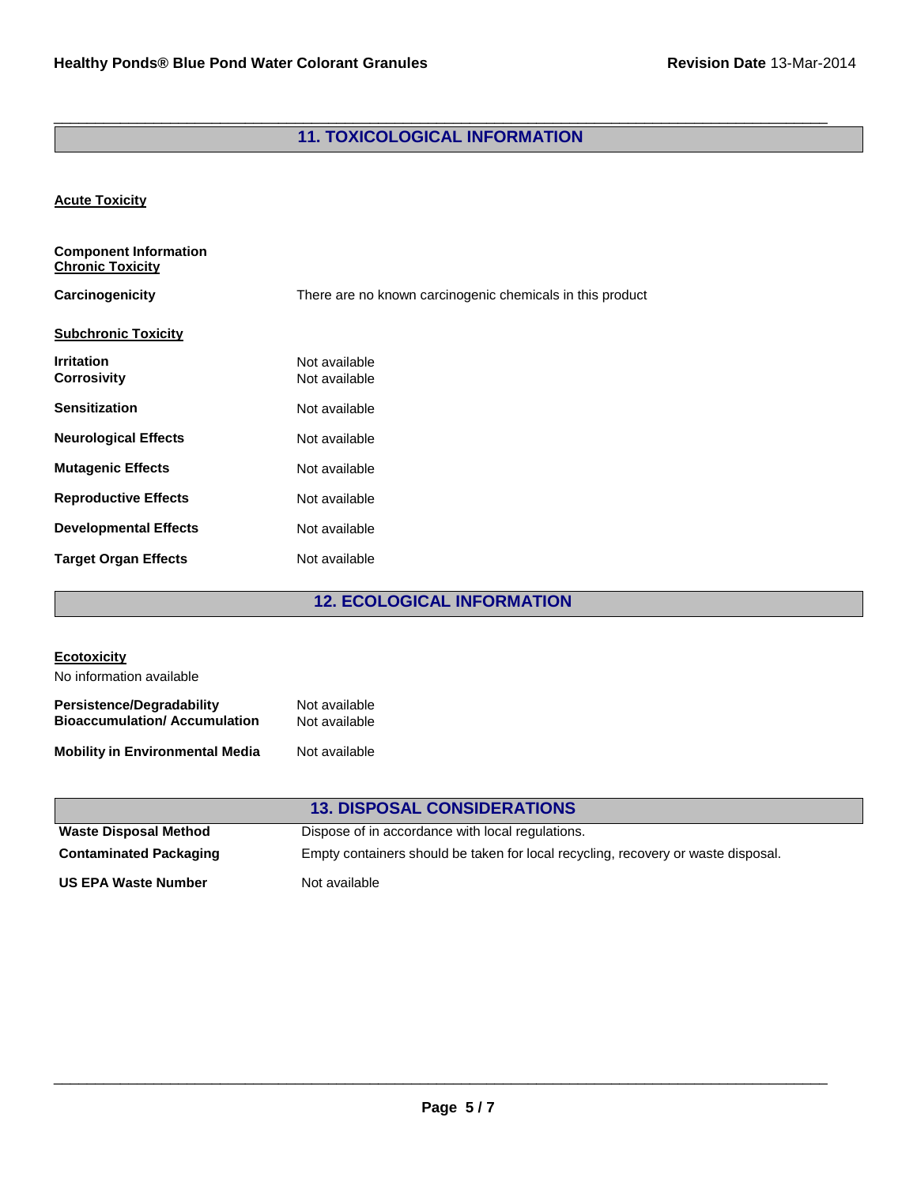#### \_\_\_\_\_\_\_\_\_\_\_\_\_\_\_\_\_\_\_\_\_\_\_\_\_\_\_\_\_\_\_\_\_\_\_\_\_\_\_\_\_\_\_\_\_\_\_\_\_\_\_\_\_\_\_\_\_\_\_\_\_\_\_\_\_\_\_\_\_\_\_\_\_\_\_\_\_\_\_\_\_\_\_\_\_\_\_\_\_\_\_\_\_ **11. TOXICOLOGICAL INFORMATION**

#### **Acute Toxicity**

| <b>Component Information</b><br><b>Chronic Toxicity</b> |                                                           |
|---------------------------------------------------------|-----------------------------------------------------------|
| Carcinogenicity                                         | There are no known carcinogenic chemicals in this product |
| <b>Subchronic Toxicity</b>                              |                                                           |
| <b>Irritation</b><br><b>Corrosivity</b>                 | Not available<br>Not available                            |
| <b>Sensitization</b>                                    | Not available                                             |
| <b>Neurological Effects</b>                             | Not available                                             |
| <b>Mutagenic Effects</b>                                | Not available                                             |
| <b>Reproductive Effects</b>                             | Not available                                             |
| <b>Developmental Effects</b>                            | Not available                                             |
| <b>Target Organ Effects</b>                             | Not available                                             |

## **12. ECOLOGICAL INFORMATION**

| <b>Ecotoxicity</b>                                                      |                                                                                   |
|-------------------------------------------------------------------------|-----------------------------------------------------------------------------------|
| No information available                                                |                                                                                   |
| <b>Persistence/Degradability</b><br><b>Bioaccumulation/Accumulation</b> | Not available<br>Not available                                                    |
| <b>Mobility in Environmental Media</b>                                  | Not available                                                                     |
|                                                                         | <b>13. DISPOSAL CONSIDERATIONS</b>                                                |
| <b>Waste Disposal Method</b>                                            | Dispose of in accordance with local regulations.                                  |
| <b>Contaminated Packaging</b>                                           | Empty containers should be taken for local recycling, recovery or waste disposal. |

**US EPA Waste Number** Not available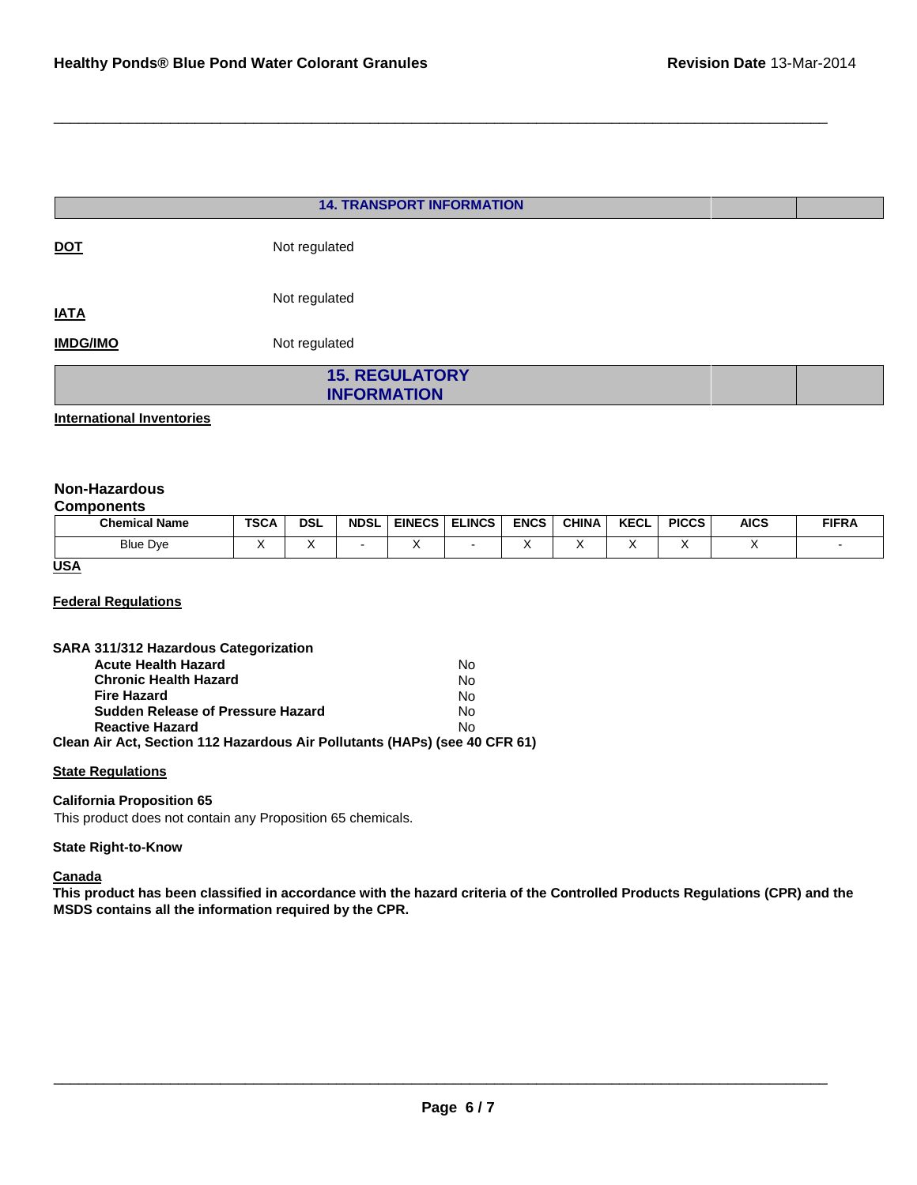|                 | <b>14. TRANSPORT INFORMATION</b>            |  |
|-----------------|---------------------------------------------|--|
| <b>DOT</b>      | Not regulated                               |  |
| <b>IATA</b>     | Not regulated                               |  |
| <b>IMDG/IMO</b> | Not regulated                               |  |
|                 | <b>15. REGULATORY</b><br><b>INFORMATION</b> |  |

\_\_\_\_\_\_\_\_\_\_\_\_\_\_\_\_\_\_\_\_\_\_\_\_\_\_\_\_\_\_\_\_\_\_\_\_\_\_\_\_\_\_\_\_\_\_\_\_\_\_\_\_\_\_\_\_\_\_\_\_\_\_\_\_\_\_\_\_\_\_\_\_\_\_\_\_\_\_\_\_\_\_\_\_\_\_\_\_\_\_\_\_\_

**International Inventories**

#### **Non-Hazardous**

#### **Components**

| <b>Chemical Name</b> | TSCA | <b>DSL</b> | <b>NDSL</b> | <b>EINECS</b> | <b>ELINCS</b> | <b>ENCS</b> | CHINA | <b>KECL</b> | <b>PICCS</b> | <b>AICS</b> | <b>FIFRA</b> |
|----------------------|------|------------|-------------|---------------|---------------|-------------|-------|-------------|--------------|-------------|--------------|
| <b>Blue Dye</b>      |      |            |             |               |               |             |       |             |              |             |              |

#### **USA**

#### **Federal Regulations**

| SARA 311/312 Hazardous Categorization                                      |           |
|----------------------------------------------------------------------------|-----------|
| <b>Acute Health Hazard</b>                                                 | No        |
| <b>Chronic Health Hazard</b>                                               | <b>No</b> |
| <b>Fire Hazard</b>                                                         | No        |
| Sudden Release of Pressure Hazard                                          | Nο        |
| <b>Reactive Hazard</b>                                                     | No        |
| Clean Air Act, Section 112 Hazardous Air Pollutants (HAPs) (see 40 CFR 61) |           |

#### **State Regulations**

#### **California Proposition 65**

This product does not contain any Proposition 65 chemicals.

#### **State Right-to-Know**

#### **Canada**

**This product has been classified in accordance with the hazard criteria of the Controlled Products Regulations (CPR) and the MSDS contains all the information required by the CPR.**